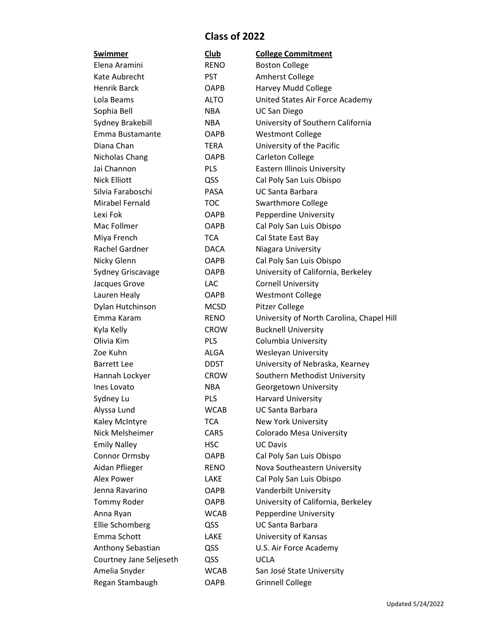## **Class of 2022**

| Swimmer                 | Club        | <b>College Commitment</b>                 |  |
|-------------------------|-------------|-------------------------------------------|--|
| Elena Aramini           | <b>RENO</b> | <b>Boston College</b>                     |  |
| Kate Aubrecht           | <b>PST</b>  | Amherst College                           |  |
| Henrik Barck            | <b>OAPB</b> | Harvey Mudd College                       |  |
| Lola Beams              | <b>ALTO</b> | United States Air Force Academy           |  |
| Sophia Bell             | <b>NBA</b>  | <b>UC San Diego</b>                       |  |
| Sydney Brakebill        | <b>NBA</b>  | University of Southern California         |  |
| Emma Bustamante         | <b>OAPB</b> | <b>Westmont College</b>                   |  |
| Diana Chan              | <b>TERA</b> | University of the Pacific                 |  |
| Nicholas Chang          | <b>OAPB</b> | <b>Carleton College</b>                   |  |
| Jai Channon             | <b>PLS</b>  | <b>Eastern Illinois University</b>        |  |
| <b>Nick Elliott</b>     | QSS         | Cal Poly San Luis Obispo                  |  |
| Silvia Faraboschi       | <b>PASA</b> | <b>UC Santa Barbara</b>                   |  |
| Mirabel Fernald         | <b>TOC</b>  | <b>Swarthmore College</b>                 |  |
| Lexi Fok                | <b>OAPB</b> | Pepperdine University                     |  |
| Mac Follmer             | <b>OAPB</b> | Cal Poly San Luis Obispo                  |  |
| Miya French             | <b>TCA</b>  | Cal State East Bay                        |  |
| Rachel Gardner          | <b>DACA</b> | Niagara University                        |  |
| Nicky Glenn             | <b>OAPB</b> | Cal Poly San Luis Obispo                  |  |
| Sydney Griscavage       | <b>OAPB</b> | University of California, Berkeley        |  |
| Jacques Grove           | <b>LAC</b>  | <b>Cornell University</b>                 |  |
| Lauren Healy            | <b>OAPB</b> | <b>Westmont College</b>                   |  |
| Dylan Hutchinson        | <b>MCSD</b> | Pitzer College                            |  |
| Emma Karam              | <b>RENO</b> | University of North Carolina, Chapel Hill |  |
| Kyla Kelly              | <b>CROW</b> | <b>Bucknell University</b>                |  |
| Olivia Kim              | PLS         | Columbia University                       |  |
| Zoe Kuhn                | ALGA        | <b>Wesleyan University</b>                |  |
| <b>Barrett Lee</b>      | <b>DDST</b> | University of Nebraska, Kearney           |  |
| Hannah Lockyer          | <b>CROW</b> | Southern Methodist University             |  |
| Ines Lovato             | NBA         | Georgetown University                     |  |
| Sydney Lu               | PLS         | <b>Harvard University</b>                 |  |
| Alyssa Lund             | <b>WCAB</b> | <b>UC Santa Barbara</b>                   |  |
| Kaley McIntyre          | <b>TCA</b>  | <b>New York University</b>                |  |
| Nick Melsheimer         | CARS        | Colorado Mesa University                  |  |
| <b>Emily Nalley</b>     | <b>HSC</b>  | <b>UC Davis</b>                           |  |
| Connor Ormsby           | OAPB        | Cal Poly San Luis Obispo                  |  |
| Aidan Pflieger          | <b>RENO</b> | Nova Southeastern University              |  |
| <b>Alex Power</b>       | LAKE        | Cal Poly San Luis Obispo                  |  |
| Jenna Ravarino          | OAPB        | Vanderbilt University                     |  |
| Tommy Roder             | OAPB        | University of California, Berkeley        |  |
| Anna Ryan               | <b>WCAB</b> | Pepperdine University                     |  |
| Ellie Schomberg         | QSS         | <b>UC Santa Barbara</b>                   |  |
| Emma Schott             | LAKE        | University of Kansas                      |  |
| Anthony Sebastian       | QSS         | U.S. Air Force Academy                    |  |
| Courtney Jane Seljeseth | QSS         | <b>UCLA</b>                               |  |
| Amelia Snyder           | <b>WCAB</b> | San José State University                 |  |
| Regan Stambaugh         | OAPB        | <b>Grinnell College</b>                   |  |